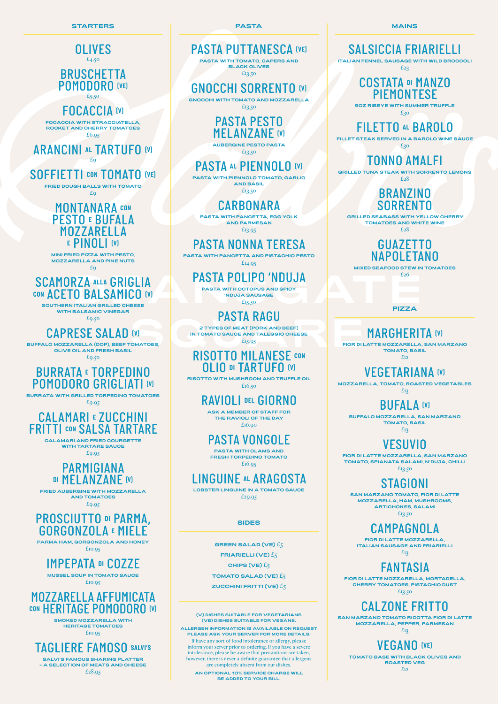*OLIVES* £4.50 *BRUSCHETTA POMODORO (VE)* £5.50 *FOCACCIA (V)* **FOCACCIA WITH STRACCIATELLA, ROCKET AND CHERRY TOMATOES** £6.95 *ARANCINI AL TARTUFO (V)* £9 *SOFFIETTI CON TOMATO (VE)* **FRIED DOUGH BALLS WITH TOMATO** £9 *MONTANARA CON PESTO E BUFALA MOZZARELLA <sup>E</sup> PINOLI (V)* **MINI FRIED PIZZA WITH PESTO, MOZZARELLA AND PINE NUTS**  $E<sub>Q</sub>$ *SCAMORZA ALLA GRIGLIA CON ACETO BALSAMICO (V)* **SOUTHERN ITALIAN GRILLED CHEESE WITH BALSAMIC VINEGAR** £9.50 *CAPRESE SALAD (V)* **BUFFALO MOZZARELLA (DOP), BEEF TOMATOES, OLIVE OIL AND FRESH BASIL** £9.50 *BURRATA E TORPEDINO POMODORO GRIGLIATI (V)* **BURRATA WITH GRILLED TORPEDINO TOMATOES** £9.95 *CALAMARI E ZUCCHINI FRITTI CON SALSA TARTARE* **CALAMARI AND FRIED COURGETTE WITH TARTARE SAUCE** £9.95 *PARMIGIANA DI MELANZANE (V)*

**FRIED AUBERGINE WITH MOZZARELLA AND TOMATOES** £9.95



**PARMA HAM, GORGONZOLA AND HONEY**

£10.95

*IMPEPATA DI COZZE*

**MUSSEL SOUP IN TOMATO SAUCE**

£10.95

### *MOZZARELLA AFFUMICATA CON HERITAGE POMODORO (V)*

**SMOKED MOZZARELLA WITH HERITAGE TOMATOES** £10.95

### *TAGLIERE FAMOSO SALVI'S*

**SALVI'S FAMOUS SHARING PLATTER – A SELECTION OF MEATS AND CHEESE** £28.95

**PASTA**

*PASTA PUTTANESCA (VE)* **PASTA WITH TOMATO, CAPERS AND BLACK OLIVES**  £13.50

*GNOCCHI SORRENTO (V)* **GNOCCHI WITH TOMATO AND MOZZARELLA** £13.50

*PASTA PESTO* 

*MELANZANE (V)* **AUBERGINE PESTO PASTA** £13.50

*PASTA AL PIENNOLO (V)* **PASTA WITH PIENNOLO TOMATO, GARLIC AND BASIL** £13.50

*CARBONARA* **PASTA WITH PANCETTA, EGG YOLK AND PARMESAN** £13.95

*PASTA NONNA TERESA* **PASTA WITH PANCETTA AND PISTACHIO PESTO** £14.95

*PASTA POLIPO 'NDUJA* **PASTA WITH OCTOPUS AND SPICY 'NDUJA SAUSAGE** £15.50

*PASTA RAGU* **2 TYPES OF MEAT (PORK AND BEEF) IN TOMATO SAUCE AND TALEGGIO CHEESE** £15.95

*RISOTTO MILANESE CON*

*OLIO DI TARTUFO (V)* **RISOTTO WITH MUSHROOM AND TRUFFLE OIL**  £16.50

> *RAVIOLI DEL GIORNO* **ASK A MEMBER OF STAFF FOR THE RAVIOLI OF THE DAY** £16.90

*PASTA VONGOLE* **PASTA WITH CLAMS AND FRESH TORPEDINO TOMATO** £16.95

*LINGUINE AL ARAGOSTA* **LOBSTER LINGUINE IN A TOMATO SAUCE** £29.95

**MAINS**

## *SALSICCIA FRIARIELLI*

**ITALIAN FENNEL SAUSAGE WITH WILD BROCCOLI** 

£23

### *COSTATA DI MANZO PIEMONTESE*

**9OZ RIBEYE WITH SUMMER TRUFFLE**

£30

## *FILETTO AL BAROLO*

**FILLET STEAK SERVED IN A BAROLO WINE SAUCE**

£30

## *TONNO AMALFI*

**GRILLED TUNA STEAK WITH SORRENTO LEMONS** £28

### *BRANZINO SORRENTO*

 **GRILLED SEABASS WITH YELLOW CHERRY TOMATOES AND WHITE WINE** 

£28

### *GUAZETTO NAPOLETANO*

**MIXED SEAFOOD STEW IN TOMATOES**

£26

## *MARGHERITA (V)*

**FIOR DI LATTE MOZZARELLA, SAN MARZANO TOMATO, BASIL** £12

## *VEGETARIANA (V)*

**MOZZARELLA, TOMATO, ROASTED VEGETABLES** £13

*BUFALA (V)*

**BUFFALO MOZZARELLA, SAN MARZANO TOMATO, BASIL** £13

## *VESUVIO*

**FIOR DI LATTE MOZZARELLA, SAN MARZANO TOMATO, SPIANATA SALAMI, N'DUJA, CHILLI** £13.50

*STAGIONI*

**SAN MARZANO TOMATO, FIOR DI LATTE MOZZARELLA, HAM, MUSHROOMS, ARTICHOKES, SALAMI** £13.50

*CAMPAGNOLA*

**FIOR DI LATTE MOZZARELLA, ITALIAN SAUSAGE AND FRIARIELLI** £13

### *FANTASIA*

**FIOR DI LATTE MOZZARELLA, MORTADELLA, CHERRY TOMATOES, PISTACHIO DUST**

£13.50

### *CALZONE FRITTO*

**SAN MARZANO TOMATO RICOTTA FIOR DI LATTE MOZZARELLA, PEPPER, PARMESAN** £13

### *VEGANO (VE)*

**TOMATO BASE WITH BLACK OLIVES AND ROASTED VEG**

£12

**PIZZA**

#### **(V) DISHES SUITABLE FOR VEGETARIANS (VE) DISHES SUITABLE FOR VEGANS.**

#### **ALLERGEN INFORMATION IS AVAILABLE ON REQUEST PLEASE ASK YOUR SERVER FOR MORE DETAILS.**

If have any sort of food intolerance or allergy, please inform your server prior to ordering. If you have a severe intolerance, please be aware that precautions are taken, however, there is never a definite guarantee that allergens are completely absent from our dishes.

**AN OPTIONAL 10% SERVICE CHARGE WILL BE ADDED TO YOUR BILL.**

**SIDES**

**GREEN SALAD (VE)** £5 **FRIARIELLI (VE)** £5

**CHIPS (VE)** £5

**TOMATO SALAD (VE)** £5

**ZUCCHINI FRITTI (VE)** £5